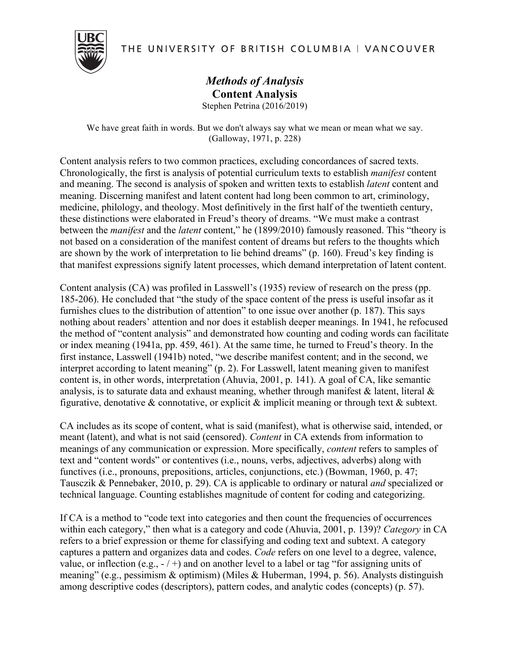THE UNIVERSITY OF BRITISH COLUMBIA | VANCOUVER



## *Methods of Analysis* **Content Analysis** Stephen Petrina (2016/2019)

We have great faith in words. But we don't always say what we mean or mean what we say. (Galloway, 1971, p. 228)

Content analysis refers to two common practices, excluding concordances of sacred texts. Chronologically, the first is analysis of potential curriculum texts to establish *manifest* content and meaning. The second is analysis of spoken and written texts to establish *latent* content and meaning. Discerning manifest and latent content had long been common to art, criminology, medicine, philology, and theology. Most definitively in the first half of the twentieth century, these distinctions were elaborated in Freud's theory of dreams. "We must make a contrast between the *manifest* and the *latent* content," he (1899/2010) famously reasoned. This "theory is not based on a consideration of the manifest content of dreams but refers to the thoughts which are shown by the work of interpretation to lie behind dreams" (p. 160). Freud's key finding is that manifest expressions signify latent processes, which demand interpretation of latent content.

Content analysis (CA) was profiled in Lasswell's (1935) review of research on the press (pp. 185-206). He concluded that "the study of the space content of the press is useful insofar as it furnishes clues to the distribution of attention" to one issue over another (p. 187). This says nothing about readers' attention and nor does it establish deeper meanings. In 1941, he refocused the method of "content analysis" and demonstrated how counting and coding words can facilitate or index meaning (1941a, pp. 459, 461). At the same time, he turned to Freud's theory. In the first instance, Lasswell (1941b) noted, "we describe manifest content; and in the second, we interpret according to latent meaning" (p. 2). For Lasswell, latent meaning given to manifest content is, in other words, interpretation (Ahuvia, 2001, p. 141). A goal of CA, like semantic analysis, is to saturate data and exhaust meaning, whether through manifest  $\&$  latent, literal  $\&$ figurative, denotative  $\&$  connotative, or explicit  $\&$  implicit meaning or through text  $\&$  subtext.

CA includes as its scope of content, what is said (manifest), what is otherwise said, intended, or meant (latent), and what is not said (censored). *Content* in CA extends from information to meanings of any communication or expression. More specifically, *content* refers to samples of text and "content words" or contentives (i.e., nouns, verbs, adjectives, adverbs) along with functives (i.e., pronouns, prepositions, articles, conjunctions, etc.) (Bowman, 1960, p. 47; Tausczik & Pennebaker, 2010, p. 29). CA is applicable to ordinary or natural *and* specialized or technical language. Counting establishes magnitude of content for coding and categorizing.

If CA is a method to "code text into categories and then count the frequencies of occurrences within each category," then what is a category and code (Ahuvia, 2001, p. 139)? *Category* in CA refers to a brief expression or theme for classifying and coding text and subtext. A category captures a pattern and organizes data and codes. *Code* refers on one level to a degree, valence, value, or inflection (e.g.,  $-$  / +) and on another level to a label or tag "for assigning units of meaning" (e.g., pessimism & optimism) (Miles & Huberman, 1994, p. 56). Analysts distinguish among descriptive codes (descriptors), pattern codes, and analytic codes (concepts) (p. 57).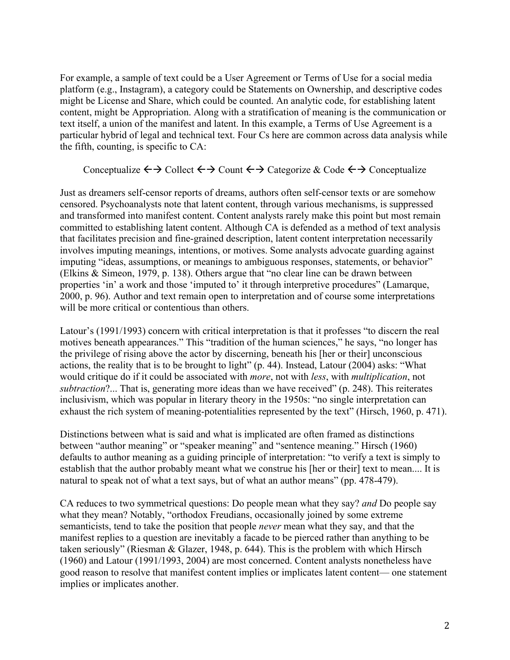For example, a sample of text could be a User Agreement or Terms of Use for a social media platform (e.g., Instagram), a category could be Statements on Ownership, and descriptive codes might be License and Share, which could be counted. An analytic code, for establishing latent content, might be Appropriation. Along with a stratification of meaning is the communication or text itself, a union of the manifest and latent. In this example, a Terms of Use Agreement is a particular hybrid of legal and technical text. Four Cs here are common across data analysis while the fifth, counting, is specific to CA:

## Conceptualize  $\leftrightarrow$  Collect  $\leftrightarrow$  Count  $\leftrightarrow$  Categorize & Code  $\leftrightarrow$  Conceptualize

Just as dreamers self-censor reports of dreams, authors often self-censor texts or are somehow censored. Psychoanalysts note that latent content, through various mechanisms, is suppressed and transformed into manifest content. Content analysts rarely make this point but most remain committed to establishing latent content. Although CA is defended as a method of text analysis that facilitates precision and fine-grained description, latent content interpretation necessarily involves imputing meanings, intentions, or motives. Some analysts advocate guarding against imputing "ideas, assumptions, or meanings to ambiguous responses, statements, or behavior" (Elkins & Simeon, 1979, p. 138). Others argue that "no clear line can be drawn between properties 'in' a work and those 'imputed to' it through interpretive procedures" (Lamarque, 2000, p. 96). Author and text remain open to interpretation and of course some interpretations will be more critical or contentious than others.

Latour's (1991/1993) concern with critical interpretation is that it professes "to discern the real motives beneath appearances." This "tradition of the human sciences," he says, "no longer has the privilege of rising above the actor by discerning, beneath his [her or their] unconscious actions, the reality that is to be brought to light" (p. 44). Instead, Latour (2004) asks: "What would critique do if it could be associated with *more*, not with *less*, with *multiplication*, not *subtraction*?... That is, generating more ideas than we have received" (p. 248). This reiterates inclusivism, which was popular in literary theory in the 1950s: "no single interpretation can exhaust the rich system of meaning-potentialities represented by the text" (Hirsch, 1960, p. 471).

Distinctions between what is said and what is implicated are often framed as distinctions between "author meaning" or "speaker meaning" and "sentence meaning." Hirsch (1960) defaults to author meaning as a guiding principle of interpretation: "to verify a text is simply to establish that the author probably meant what we construe his [her or their] text to mean.... It is natural to speak not of what a text says, but of what an author means" (pp. 478-479).

CA reduces to two symmetrical questions: Do people mean what they say? *and* Do people say what they mean? Notably, "orthodox Freudians, occasionally joined by some extreme semanticists, tend to take the position that people *never* mean what they say, and that the manifest replies to a question are inevitably a facade to be pierced rather than anything to be taken seriously" (Riesman & Glazer, 1948, p. 644). This is the problem with which Hirsch (1960) and Latour (1991/1993, 2004) are most concerned. Content analysts nonetheless have good reason to resolve that manifest content implies or implicates latent content— one statement implies or implicates another.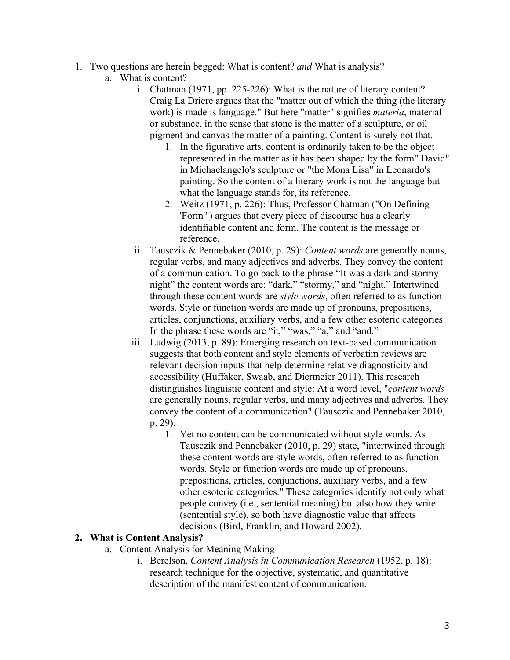- 1. Two questions are herein begged: What is content? *and* What is analysis?
	- a. What is content?
		- i. Chatman (1971, pp. 225-226): What is the nature of literary content? Craig La Driere argues that the "matter out of which the thing (the literary work) is made is language." But here "matter" signifies *materia*, material or substance, in the sense that stone is the matter of a sculpture, or oil pigment and canvas the matter of a painting. Content is surely not that.
			- 1. In the figurative arts, content is ordinarily taken to be the object represented in the matter as it has been shaped by the form" David" in Michaelangelo's sculpture or "the Mona Lisa" in Leonardo's painting. So the content of a literary work is not the language but what the language stands for, its reference.
			- 2. Weitz (1971, p. 226): Thus, Professor Chatman ("On Defining 'Form'") argues that every piece of discourse has a clearly identifiable content and form. The content is the message or reference.
		- ii. Tausczik & Pennebaker (2010, p. 29): *Content words* are generally nouns, regular verbs, and many adjectives and adverbs. They convey the content of a communication. To go back to the phrase "It was a dark and stormy night" the content words are: "dark," "stormy," and "night." Intertwined through these content words are *style words*, often referred to as function words. Style or function words are made up of pronouns, prepositions, articles, conjunctions, auxiliary verbs, and a few other esoteric categories. In the phrase these words are "it," "was," "a," and "and."
		- iii. Ludwig (2013, p. 89): Emerging research on text-based communication suggests that both content and style elements of verbatim reviews are relevant decision inputs that help determine relative diagnosticity and accessibility (Huffaker, Swaab, and Diermeier 2011). This research distinguishes linguistic content and style: At a word level, "*content words* are generally nouns, regular verbs, and many adjectives and adverbs. They convey the content of a communication" (Tausczik and Pennebaker 2010, p. 29).
			- 1. Yet no content can be communicated without style words. As Tausczik and Pennebaker (2010, p. 29) state, "intertwined through these content words are style words, often referred to as function words. Style or function words are made up of pronouns, prepositions, articles, conjunctions, auxiliary verbs, and a few other esoteric categories." These categories identify not only what people convey (i.e., sentential meaning) but also how they write (sentential style), so both have diagnostic value that affects decisions (Bird, Franklin, and Howard 2002).

## **2. What is Content Analysis?**

- a. Content Analysis for Meaning Making
	- i. Berelson, *Content Analysis in Communication Research* (1952, p. 18): research technique for the objective, systematic, and quantitative description of the manifest content of communication.